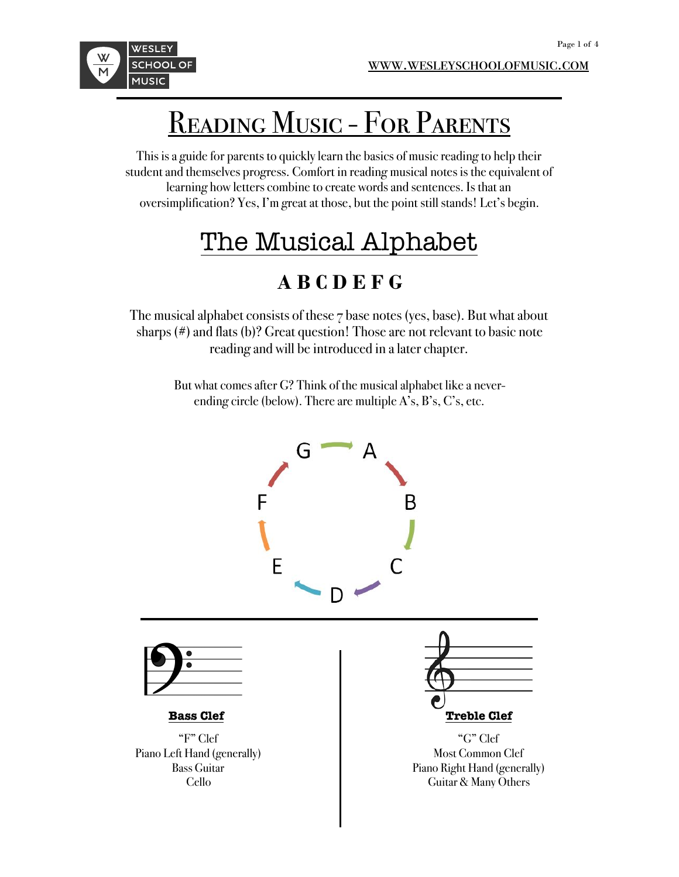

## READING MUSIC - FOR PARENTS

This is a guide for parents to quickly learn the basics of music reading to help their student and themselves progress. Comfort in reading musical notes is the equivalent of learning how letters combine to create words and sentences. Is that an oversimplification? Yes, I'm great at those, but the point still stands! Let's begin.

## The Musical Alphabet

## **A B C D E F G**

The musical alphabet consists of these 7 base notes (yes, base). But what about sharps (#) and flats (b)? Great question! Those are not relevant to basic note reading and will be introduced in a later chapter.

> But what comes after G? Think of the musical alphabet like a neverending circle (below). There are multiple A's, B's, C's, etc.

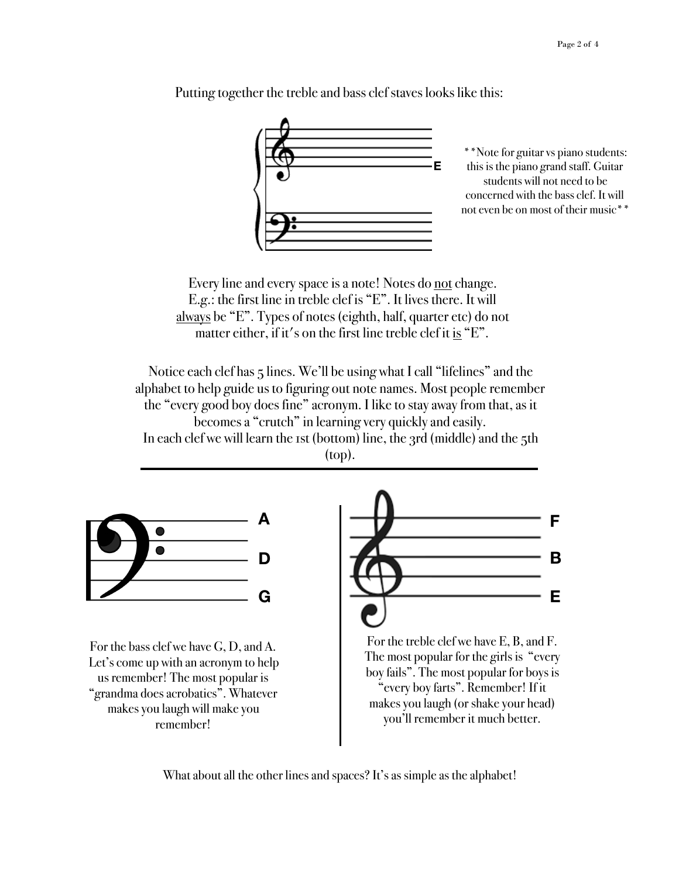

Putting together the treble and bass clef staves looks like this:

\*\*Note for guitar vs piano students: this is the piano grand staff. Guitar students will not need to be concerned with the bass clef. It will not even be on most of their music\*\*

Every line and every space is a note! Notes do not change. E.g.: the first line in treble clef is "E". It lives there. It will always be "E". Types of notes (eighth, half, quarter etc) do not matter either, if it's on the first line treble clef it is  $E^{\prime\prime}$ .

Notice each clef has 5 lines. We'll be using what I call "lifelines" and the alphabet to help guide us to figuring out note names. Most people remember the "every good boy does fine" acronym. I like to stay away from that, as it becomes a "crutch" in learning very quickly and easily. In each clef we will learn the 1st (bottom) line, the 3rd (middle) and the 5th (top).



For the bass clef we have G, D, and A. Let's come up with an acronym to help us remember! The most popular is "grandma does acrobatics". Whatever makes you laugh will make you remember!



For the treble clef we have E, B, and F. The most popular for the girls is "every boy fails". The most popular for boys is "every boy farts". Remember! If it makes you laugh (or shake your head) you'll remember it much better.

What about all the other lines and spaces? It's as simple as the alphabet!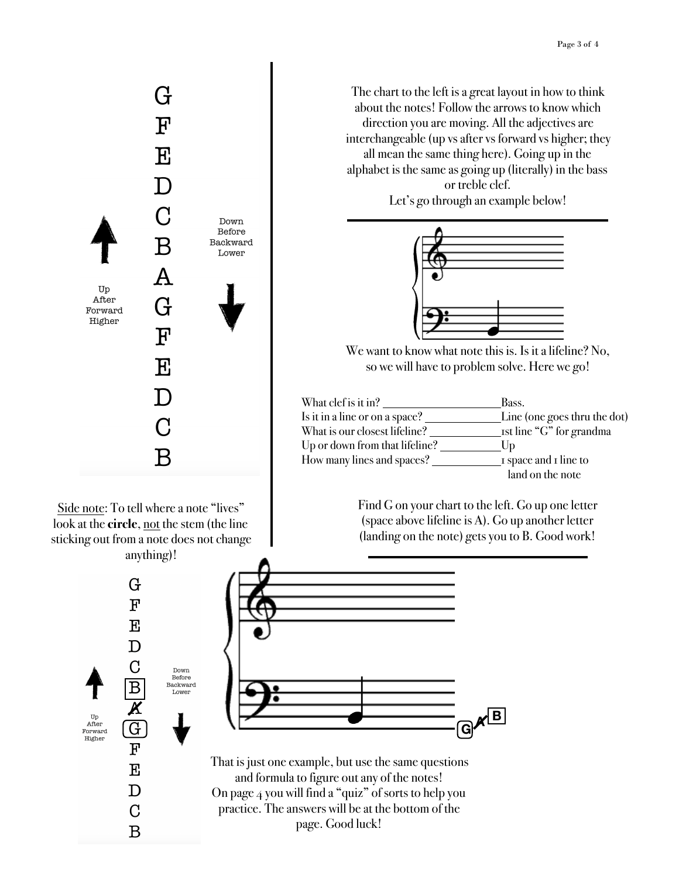

Side note: To tell where a note "lives" look at the **circle**, not the stem (the line sticking out from a note does not change

The chart to the left is a great layout in how to think about the notes! Follow the arrows to know which direction you are moving. All the adjectives are interchangeable (up vs after vs forward vs higher; they all mean the same thing here). Going up in the alphabet is the same as going up (literally) in the bass or treble clef. Let's go through an example below!



We want to know what note this is. Is it a lifeline? No, so we will have to problem solve. Here we go!

| What clef is it in?            | Bass.                        |
|--------------------------------|------------------------------|
| Is it in a line or on a space? | Line (one goes thru the dot) |
| What is our closest lifeline?  | _rst line "G" for grandma    |
| Up or down from that lifeline? | $\mathbf{U}$                 |
| How many lines and spaces?     | 1 space and 1 line to        |
|                                | land on the note             |

Find G on your chart to the left. Go up one letter (space above lifeline is A). Go up another letter (landing on the note) gets you to B. Good work!